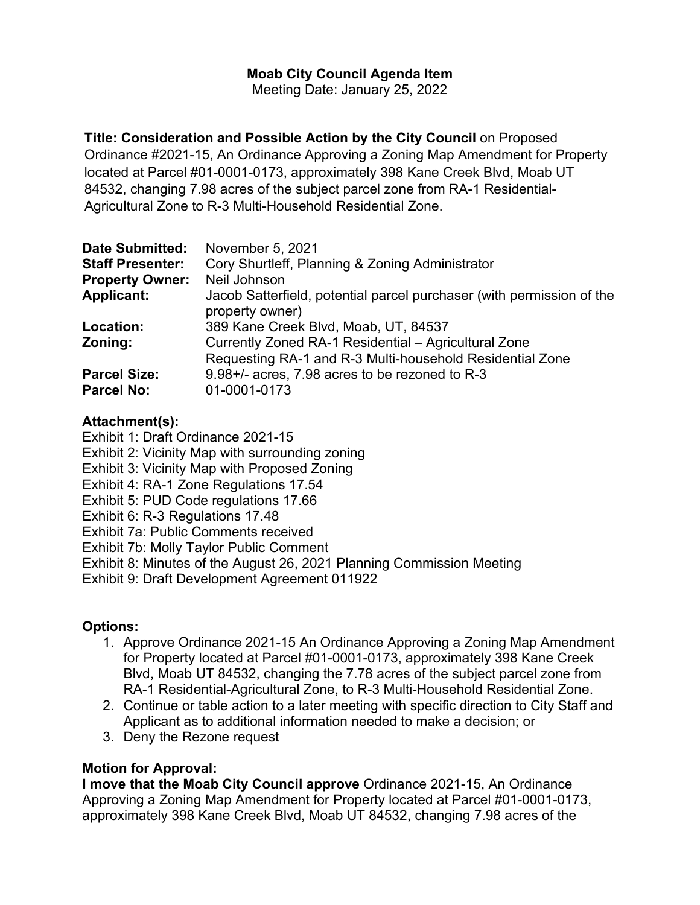# **Moab City Council Agenda Item**

Meeting Date: January 25, 2022

**Title: Consideration and Possible Action by the City Council** on Proposed Ordinance #2021-15, An Ordinance Approving a Zoning Map Amendment for Property located at Parcel #01-0001-0173, approximately 398 Kane Creek Blvd, Moab UT 84532, changing 7.98 acres of the subject parcel zone from RA-1 Residential-Agricultural Zone to R-3 Multi-Household Residential Zone.

| <b>Date Submitted:</b>                   | November 5, 2021                                                                                                 |
|------------------------------------------|------------------------------------------------------------------------------------------------------------------|
| <b>Staff Presenter:</b>                  | Cory Shurtleff, Planning & Zoning Administrator                                                                  |
| <b>Property Owner:</b>                   | Neil Johnson                                                                                                     |
| <b>Applicant:</b>                        | Jacob Satterfield, potential parcel purchaser (with permission of the<br>property owner)                         |
| Location:                                | 389 Kane Creek Blvd, Moab, UT, 84537                                                                             |
| Zoning:                                  | Currently Zoned RA-1 Residential - Agricultural Zone<br>Requesting RA-1 and R-3 Multi-household Residential Zone |
| <b>Parcel Size:</b><br><b>Parcel No:</b> | 9.98+/- acres, 7.98 acres to be rezoned to R-3<br>01-0001-0173                                                   |

## **Attachment(s):**

Exhibit 1: Draft Ordinance 2021-15

- Exhibit 2: Vicinity Map with surrounding zoning
- Exhibit 3: Vicinity Map with Proposed Zoning
- Exhibit 4: RA-1 Zone Regulations 17.54
- Exhibit 5: PUD Code regulations 17.66
- Exhibit 6: R-3 Regulations 17.48
- Exhibit 7a: Public Comments received
- Exhibit 7b: Molly Taylor Public Comment
- Exhibit 8: Minutes of the August 26, 2021 Planning Commission Meeting

Exhibit 9: Draft Development Agreement 011922

# **Options:**

- 1. Approve Ordinance 2021-15 An Ordinance Approving a Zoning Map Amendment for Property located at Parcel #01-0001-0173, approximately 398 Kane Creek Blvd, Moab UT 84532, changing the 7.78 acres of the subject parcel zone from RA-1 Residential-Agricultural Zone, to R-3 Multi-Household Residential Zone.
- 2. Continue or table action to a later meeting with specific direction to City Staff and Applicant as to additional information needed to make a decision; or
- 3. Deny the Rezone request

# **Motion for Approval:**

**I move that the Moab City Council approve** Ordinance 2021-15, An Ordinance Approving a Zoning Map Amendment for Property located at Parcel #01-0001-0173, approximately 398 Kane Creek Blvd, Moab UT 84532, changing 7.98 acres of the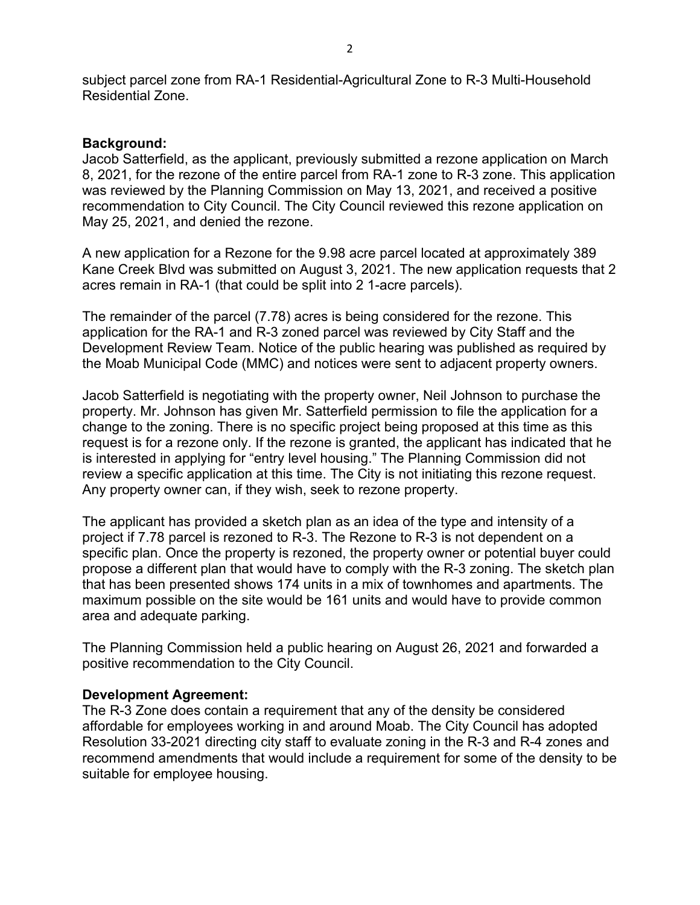subject parcel zone from RA-1 Residential-Agricultural Zone to R-3 Multi-Household Residential Zone.

### **Background:**

Jacob Satterfield, as the applicant, previously submitted a rezone application on March 8, 2021, for the rezone of the entire parcel from RA-1 zone to R-3 zone. This application was reviewed by the Planning Commission on May 13, 2021, and received a positive recommendation to City Council. The City Council reviewed this rezone application on May 25, 2021, and denied the rezone.

A new application for a Rezone for the 9.98 acre parcel located at approximately 389 Kane Creek Blvd was submitted on August 3, 2021. The new application requests that 2 acres remain in RA-1 (that could be split into 2 1-acre parcels).

The remainder of the parcel (7.78) acres is being considered for the rezone. This application for the RA-1 and R-3 zoned parcel was reviewed by City Staff and the Development Review Team. Notice of the public hearing was published as required by the Moab Municipal Code (MMC) and notices were sent to adjacent property owners.

Jacob Satterfield is negotiating with the property owner, Neil Johnson to purchase the property. Mr. Johnson has given Mr. Satterfield permission to file the application for a change to the zoning. There is no specific project being proposed at this time as this request is for a rezone only. If the rezone is granted, the applicant has indicated that he is interested in applying for "entry level housing." The Planning Commission did not review a specific application at this time. The City is not initiating this rezone request. Any property owner can, if they wish, seek to rezone property.

The applicant has provided a sketch plan as an idea of the type and intensity of a project if 7.78 parcel is rezoned to R-3. The Rezone to R-3 is not dependent on a specific plan. Once the property is rezoned, the property owner or potential buyer could propose a different plan that would have to comply with the R-3 zoning. The sketch plan that has been presented shows 174 units in a mix of townhomes and apartments. The maximum possible on the site would be 161 units and would have to provide common area and adequate parking.

The Planning Commission held a public hearing on August 26, 2021 and forwarded a positive recommendation to the City Council.

### **Development Agreement:**

The R-3 Zone does contain a requirement that any of the density be considered affordable for employees working in and around Moab. The City Council has adopted Resolution 33-2021 directing city staff to evaluate zoning in the R-3 and R-4 zones and recommend amendments that would include a requirement for some of the density to be suitable for employee housing.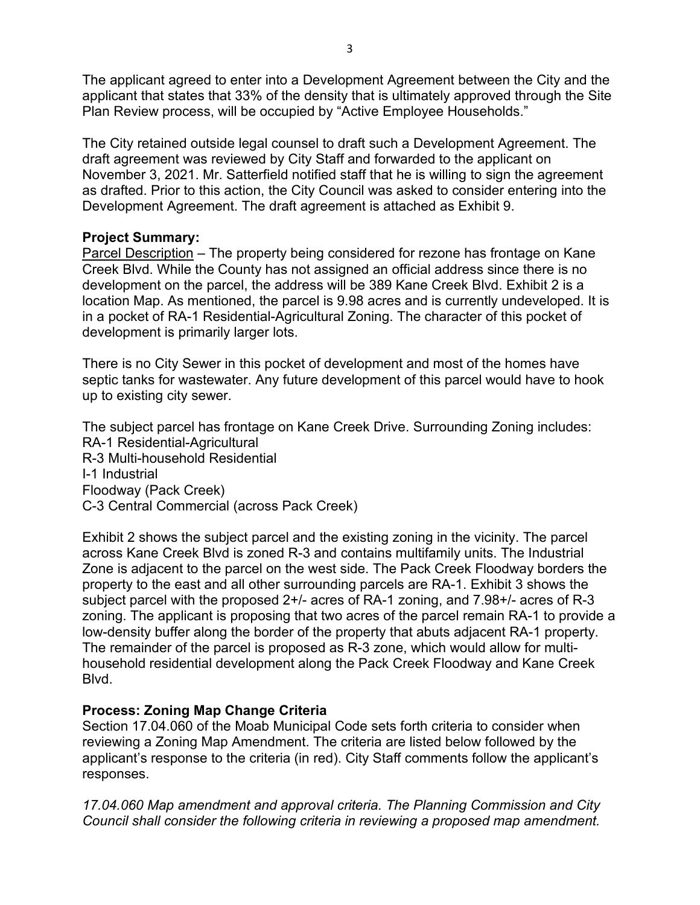The applicant agreed to enter into a Development Agreement between the City and the applicant that states that 33% of the density that is ultimately approved through the Site Plan Review process, will be occupied by "Active Employee Households."

The City retained outside legal counsel to draft such a Development Agreement. The draft agreement was reviewed by City Staff and forwarded to the applicant on November 3, 2021. Mr. Satterfield notified staff that he is willing to sign the agreement as drafted. Prior to this action, the City Council was asked to consider entering into the Development Agreement. The draft agreement is attached as Exhibit 9.

## **Project Summary:**

Parcel Description – The property being considered for rezone has frontage on Kane Creek Blvd. While the County has not assigned an official address since there is no development on the parcel, the address will be 389 Kane Creek Blvd. Exhibit 2 is a location Map. As mentioned, the parcel is 9.98 acres and is currently undeveloped. It is in a pocket of RA-1 Residential-Agricultural Zoning. The character of this pocket of development is primarily larger lots.

There is no City Sewer in this pocket of development and most of the homes have septic tanks for wastewater. Any future development of this parcel would have to hook up to existing city sewer.

The subject parcel has frontage on Kane Creek Drive. Surrounding Zoning includes: RA-1 Residential-Agricultural R-3 Multi-household Residential I-1 Industrial Floodway (Pack Creek) C-3 Central Commercial (across Pack Creek)

Exhibit 2 shows the subject parcel and the existing zoning in the vicinity. The parcel across Kane Creek Blvd is zoned R-3 and contains multifamily units. The Industrial Zone is adjacent to the parcel on the west side. The Pack Creek Floodway borders the property to the east and all other surrounding parcels are RA-1. Exhibit 3 shows the subject parcel with the proposed 2+/- acres of RA-1 zoning, and 7.98+/- acres of R-3 zoning. The applicant is proposing that two acres of the parcel remain RA-1 to provide a low-density buffer along the border of the property that abuts adjacent RA-1 property. The remainder of the parcel is proposed as R-3 zone, which would allow for multihousehold residential development along the Pack Creek Floodway and Kane Creek Blvd.

# **Process: Zoning Map Change Criteria**

Section 17.04.060 of the Moab Municipal Code sets forth criteria to consider when reviewing a Zoning Map Amendment. The criteria are listed below followed by the applicant's response to the criteria (in red). City Staff comments follow the applicant's responses.

*17.04.060 Map amendment and approval criteria. The Planning Commission and City Council shall consider the following criteria in reviewing a proposed map amendment.*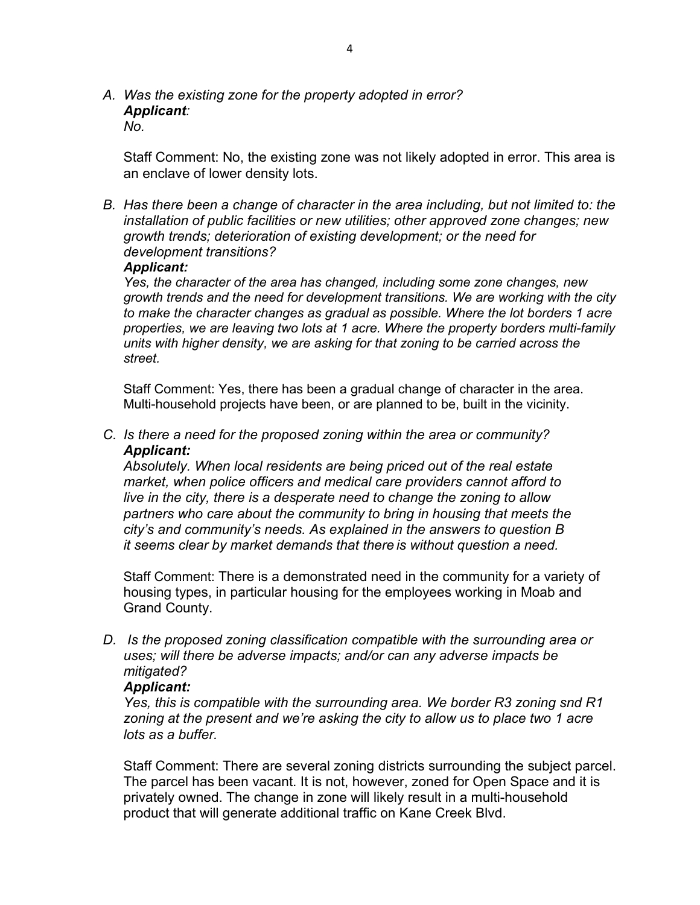*A. Was the existing zone for the property adopted in error? Applicant:* 

*No.*

Staff Comment: No, the existing zone was not likely adopted in error. This area is an enclave of lower density lots.

*B. Has there been a change of character in the area including, but not limited to: the installation of public facilities or new utilities; other approved zone changes; new growth trends; deterioration of existing development; or the need for development transitions?*

#### *Applicant:*

*Yes, the character of the area has changed, including some zone changes, new growth trends and the need for development transitions. We are working with the city to make the character changes as gradual as possible. Where the lot borders 1 acre properties, we are leaving two lots at 1 acre. Where the property borders multi-family units with higher density, we are asking for that zoning to be carried across the street.* 

Staff Comment: Yes, there has been a gradual change of character in the area. Multi-household projects have been, or are planned to be, built in the vicinity.

*C. Is there a need for the proposed zoning within the area or community? Applicant:*

*Absolutely. When local residents are being priced out of the real estate market, when police officers and medical care providers cannot afford to live in the city, there is a desperate need to change the zoning to allow partners who care about the community to bring in housing that meets the city's and community's needs. As explained in the answers to question B it seems clear by market demands that there is without question a need.*

Staff Comment: There is a demonstrated need in the community for a variety of housing types, in particular housing for the employees working in Moab and Grand County.

*D. Is the proposed zoning classification compatible with the surrounding area or uses; will there be adverse impacts; and/or can any adverse impacts be mitigated?*

### *Applicant:*

*Yes, this is compatible with the surrounding area. We border R3 zoning snd R1 zoning at the present and we're asking the city to allow us to place two 1 acre lots as a buffer.*

Staff Comment: There are several zoning districts surrounding the subject parcel. The parcel has been vacant. It is not, however, zoned for Open Space and it is privately owned. The change in zone will likely result in a multi-household product that will generate additional traffic on Kane Creek Blvd.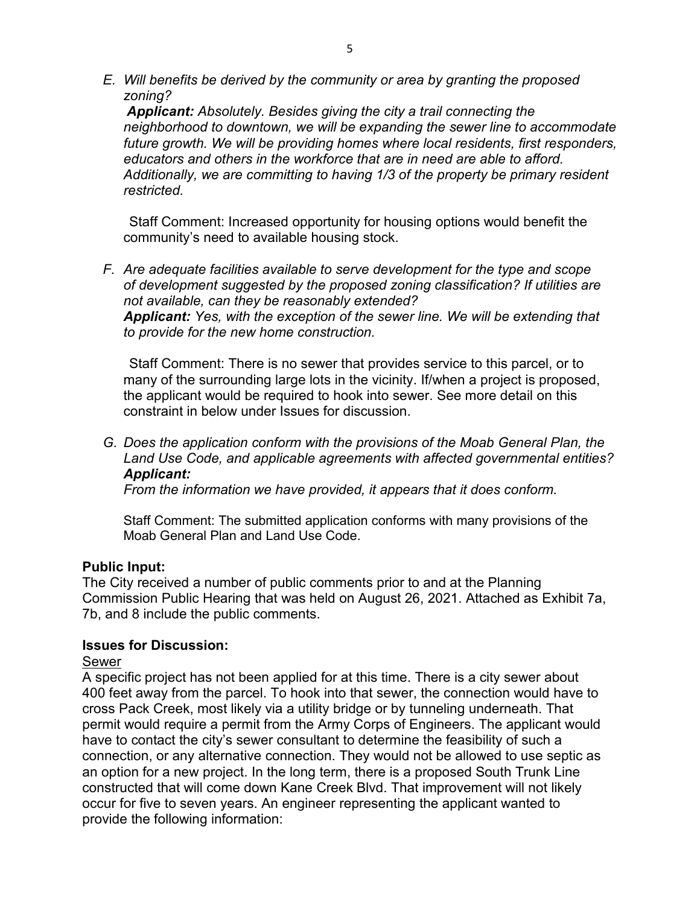*E. Will benefits be derived by the community or area by granting the proposed zoning?*

*Applicant: Absolutely. Besides giving the city a trail connecting the neighborhood to downtown, we will be expanding the sewer line to accommodate future growth. We will be providing homes where local residents, first responders, educators and others in the workforce that are in need are able to afford. Additionally, we are committing to having 1/3 of the property be primary resident restricted.*

Staff Comment: Increased opportunity for housing options would benefit the community's need to available housing stock.

*F. Are adequate facilities available to serve development for the type and scope of development suggested by the proposed zoning classification? If utilities are not available, can they be reasonably extended? Applicant: Yes, with the exception of the sewer line. We will be extending that to provide for the new home construction.*

Staff Comment: There is no sewer that provides service to this parcel, or to many of the surrounding large lots in the vicinity. If/when a project is proposed, the applicant would be required to hook into sewer. See more detail on this constraint in below under Issues for discussion.

*G. Does the application conform with the provisions of the Moab General Plan, the Land Use Code, and applicable agreements with affected governmental entities? Applicant:* 

*From the information we have provided, it appears that it does conform.*

Staff Comment: The submitted application conforms with many provisions of the Moab General Plan and Land Use Code.

## **Public Input:**

The City received a number of public comments prior to and at the Planning Commission Public Hearing that was held on August 26, 2021. Attached as Exhibit 7a, 7b, and 8 include the public comments.

## **Issues for Discussion:**

### Sewer

A specific project has not been applied for at this time. There is a city sewer about 400 feet away from the parcel. To hook into that sewer, the connection would have to cross Pack Creek, most likely via a utility bridge or by tunneling underneath. That permit would require a permit from the Army Corps of Engineers. The applicant would have to contact the city's sewer consultant to determine the feasibility of such a connection, or any alternative connection. They would not be allowed to use septic as an option for a new project. In the long term, there is a proposed South Trunk Line constructed that will come down Kane Creek Blvd. That improvement will not likely occur for five to seven years. An engineer representing the applicant wanted to provide the following information: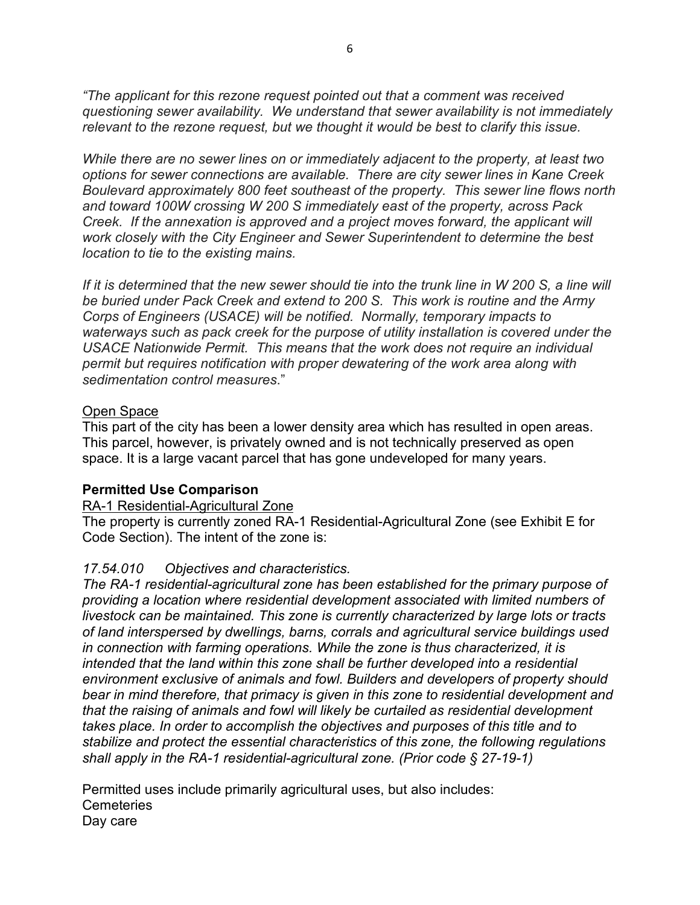*"The applicant for this rezone request pointed out that a comment was received questioning sewer availability. We understand that sewer availability is not immediately relevant to the rezone request, but we thought it would be best to clarify this issue.* 

*While there are no sewer lines on or immediately adjacent to the property, at least two options for sewer connections are available. There are city sewer lines in Kane Creek Boulevard approximately 800 feet southeast of the property. This sewer line flows north and toward 100W crossing W 200 S immediately east of the property, across Pack Creek. If the annexation is approved and a project moves forward, the applicant will work closely with the City Engineer and Sewer Superintendent to determine the best location to tie to the existing mains.*

*If it is determined that the new sewer should tie into the trunk line in W 200 S, a line will be buried under Pack Creek and extend to 200 S. This work is routine and the Army Corps of Engineers (USACE) will be notified. Normally, temporary impacts to waterways such as pack creek for the purpose of utility installation is covered under the USACE Nationwide Permit. This means that the work does not require an individual permit but requires notification with proper dewatering of the work area along with sedimentation control measures*."

### Open Space

This part of the city has been a lower density area which has resulted in open areas. This parcel, however, is privately owned and is not technically preserved as open space. It is a large vacant parcel that has gone undeveloped for many years.

#### **Permitted Use Comparison**

### RA-1 Residential-Agricultural Zone

The property is currently zoned RA-1 Residential-Agricultural Zone (see Exhibit E for Code Section). The intent of the zone is:

### *17.54.010 Objectives and characteristics.*

*The RA-1 residential-agricultural zone has been established for the primary purpose of providing a location where residential development associated with limited numbers of livestock can be maintained. This zone is currently characterized by large lots or tracts of land interspersed by dwellings, barns, corrals and agricultural service buildings used in connection with farming operations. While the zone is thus characterized, it is intended that the land within this zone shall be further developed into a residential environment exclusive of animals and fowl. Builders and developers of property should bear in mind therefore, that primacy is given in this zone to residential development and that the raising of animals and fowl will likely be curtailed as residential development takes place. In order to accomplish the objectives and purposes of this title and to stabilize and protect the essential characteristics of this zone, the following regulations shall apply in the RA-1 residential-agricultural zone. (Prior code § 27-19-1)*

Permitted uses include primarily agricultural uses, but also includes: **Cemeteries** Day care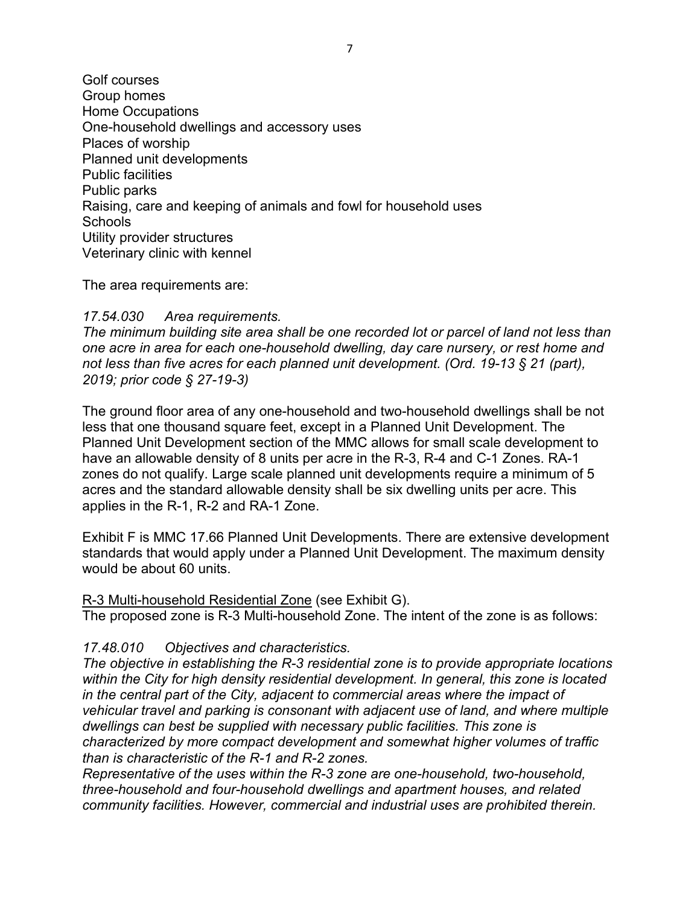Golf courses Group homes Home Occupations One-household dwellings and accessory uses Places of worship Planned unit developments Public facilities Public parks Raising, care and keeping of animals and fowl for household uses **Schools** Utility provider structures Veterinary clinic with kennel

The area requirements are:

### *17.54.030 Area requirements.*

*The minimum building site area shall be one recorded lot or parcel of land not less than one acre in area for each one-household dwelling, day care nursery, or rest home and not less than five acres for each planned unit development. (Ord. 19-13 § 21 (part), 2019; prior code § 27-19-3)*

The ground floor area of any one-household and two-household dwellings shall be not less that one thousand square feet, except in a Planned Unit Development. The Planned Unit Development section of the MMC allows for small scale development to have an allowable density of 8 units per acre in the R-3, R-4 and C-1 Zones. RA-1 zones do not qualify. Large scale planned unit developments require a minimum of 5 acres and the standard allowable density shall be six dwelling units per acre. This applies in the R-1, R-2 and RA-1 Zone.

Exhibit F is MMC 17.66 Planned Unit Developments. There are extensive development standards that would apply under a Planned Unit Development. The maximum density would be about 60 units.

R-3 Multi-household Residential Zone (see Exhibit G).

The proposed zone is R-3 Multi-household Zone. The intent of the zone is as follows:

## *17.48.010 Objectives and characteristics.*

*The objective in establishing the R-3 residential zone is to provide appropriate locations within the City for high density residential development. In general, this zone is located in the central part of the City, adjacent to commercial areas where the impact of vehicular travel and parking is consonant with adjacent use of land, and where multiple dwellings can best be supplied with necessary public facilities. This zone is characterized by more compact development and somewhat higher volumes of traffic than is characteristic of the R-1 and R-2 zones.*

*Representative of the uses within the R-3 zone are one-household, two-household, three-household and four-household dwellings and apartment houses, and related community facilities. However, commercial and industrial uses are prohibited therein.*